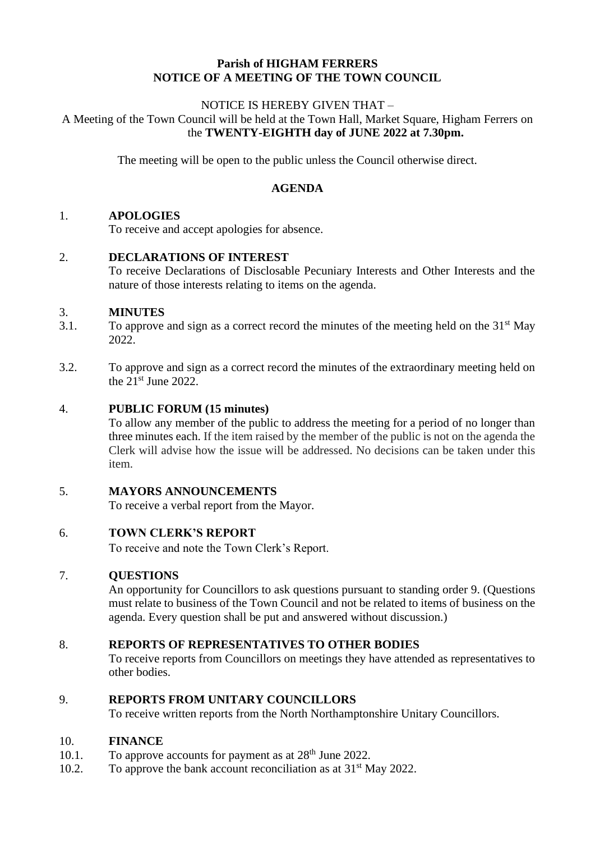### **Parish of HIGHAM FERRERS NOTICE OF A MEETING OF THE TOWN COUNCIL**

#### NOTICE IS HEREBY GIVEN THAT – A Meeting of the Town Council will be held at the Town Hall, Market Square, Higham Ferrers on the **TWENTY-EIGHTH day of JUNE 2022 at 7.30pm.**

The meeting will be open to the public unless the Council otherwise direct.

### **AGENDA**

#### 1. **APOLOGIES**

To receive and accept apologies for absence.

2. **DECLARATIONS OF INTEREST**

To receive Declarations of Disclosable Pecuniary Interests and Other Interests and the nature of those interests relating to items on the agenda.

#### 3. **MINUTES**

- 3.1. To approve and sign as a correct record the minutes of the meeting held on the  $31<sup>st</sup>$  May 2022.
- 3.2. To approve and sign as a correct record the minutes of the extraordinary meeting held on the  $21<sup>st</sup>$  June 2022.

#### 4. **PUBLIC FORUM (15 minutes)**

To allow any member of the public to address the meeting for a period of no longer than three minutes each. If the item raised by the member of the public is not on the agenda the Clerk will advise how the issue will be addressed. No decisions can be taken under this item.

#### 5. **MAYORS ANNOUNCEMENTS**

To receive a verbal report from the Mayor.

#### 6. **TOWN CLERK'S REPORT**

To receive and note the Town Clerk's Report.

#### 7. **QUESTIONS**

An opportunity for Councillors to ask questions pursuant to standing order 9. (Questions must relate to business of the Town Council and not be related to items of business on the agenda. Every question shall be put and answered without discussion.)

#### 8. **REPORTS OF REPRESENTATIVES TO OTHER BODIES**

To receive reports from Councillors on meetings they have attended as representatives to other bodies.

#### 9. **REPORTS FROM UNITARY COUNCILLORS**

To receive written reports from the North Northamptonshire Unitary Councillors.

#### 10. **FINANCE**

- 10.1. To approve accounts for payment as at  $28<sup>th</sup>$  June 2022.
- 10.2. To approve the bank account reconciliation as at  $31<sup>st</sup>$  May 2022.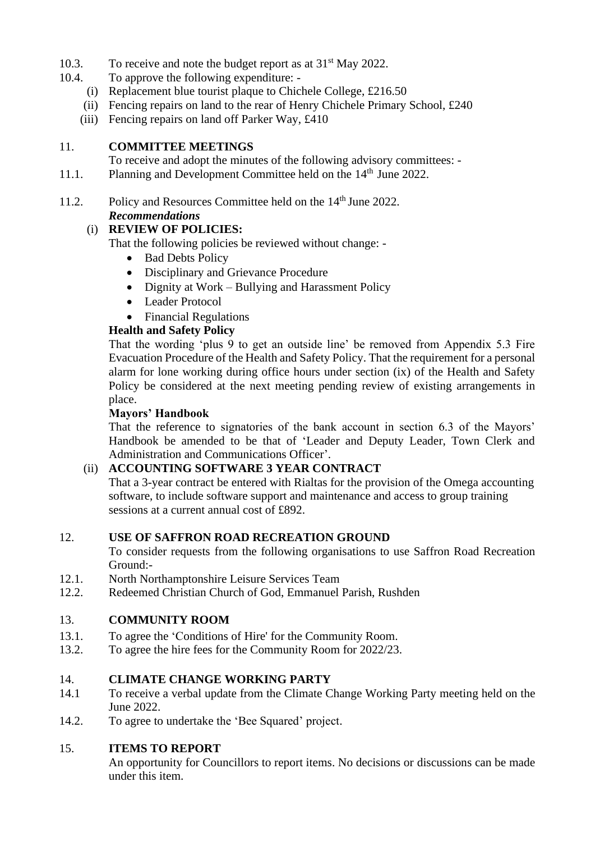- 10.3. To receive and note the budget report as at 31<sup>st</sup> May 2022.
- 10.4. To approve the following expenditure:
	- (i) Replacement blue tourist plaque to Chichele College, £216.50
	- (ii) Fencing repairs on land to the rear of Henry Chichele Primary School, £240
	- (iii) Fencing repairs on land off Parker Way, £410

### 11. **COMMITTEE MEETINGS**

To receive and adopt the minutes of the following advisory committees: -

- 11.1. Planning and Development Committee held on the 14<sup>th</sup> June 2022.
- 11.2. Policy and Resources Committee held on the 14<sup>th</sup> June 2022.

# *Recommendations*

(i) **REVIEW OF POLICIES:**

That the following policies be reviewed without change: -

- Bad Debts Policy
- Disciplinary and Grievance Procedure
- Dignity at Work Bullying and Harassment Policy
- Leader Protocol
- Financial Regulations

# **Health and Safety Policy**

That the wording 'plus 9 to get an outside line' be removed from Appendix 5.3 Fire Evacuation Procedure of the Health and Safety Policy. That the requirement for a personal alarm for lone working during office hours under section (ix) of the Health and Safety Policy be considered at the next meeting pending review of existing arrangements in place.

### **Mayors' Handbook**

That the reference to signatories of the bank account in section 6.3 of the Mayors' Handbook be amended to be that of 'Leader and Deputy Leader, Town Clerk and Administration and Communications Officer'.

# (ii) **ACCOUNTING SOFTWARE 3 YEAR CONTRACT**

That a 3-year contract be entered with Rialtas for the provision of the Omega accounting software, to include software support and maintenance and access to group training sessions at a current annual cost of £892.

# 12. **USE OF SAFFRON ROAD RECREATION GROUND**

To consider requests from the following organisations to use Saffron Road Recreation Ground:-

- 12.1. North Northamptonshire Leisure Services Team
- 12.2. Redeemed Christian Church of God, Emmanuel Parish, Rushden

# 13. **COMMUNITY ROOM**

- 13.1. To agree the 'Conditions of Hire' for the Community Room.
- 13.2. To agree the hire fees for the Community Room for 2022/23.

# 14. **CLIMATE CHANGE WORKING PARTY**

- 14.1 To receive a verbal update from the Climate Change Working Party meeting held on the June 2022.
- 14.2. To agree to undertake the 'Bee Squared' project.

# 15. **ITEMS TO REPORT**

An opportunity for Councillors to report items. No decisions or discussions can be made under this item.